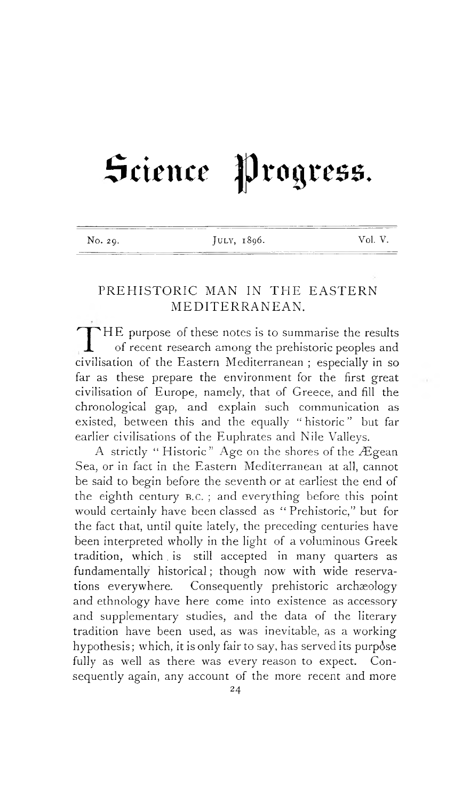# Science Progress.

| No. 29. | JULY, 1896. | Vol. V. |
|---------|-------------|---------|

## PREHISTORIC MAN IN THE EASTERN MEDITERRANEAN.

THE purpose of these notes is to summarise the results of recent research among the prehistoric peoples and civilisation of the Eastern Mediterranean; especially in so THE purpose of these notes is to summarise the results of recent research among the prehistoric peoples and far as these prepare the environment for the first great civilisation of Europe, namely, that of Greece, and fill the chronological gap, and explain such communication as existed, between this and the equally " historic " but far earlier civilisations of the Euphrates and Nile Valleys.

A strictly " Historic" Age on the shores of the Ægean Sea, or in fact in the Eastern Mediterranean at all, cannot be said to begin before the seventh or at earliest the end of the eighth century B.C.; and everything before this point would certainly have been classed as " Prehistoric," but for the fact that, until quite lately, the preceding centuries have been interpreted wholly in the light of a voluminous Greek tradition, which is still accepted in many quarters as fundamentally historical ; though now with wide reservations everywhere. Consequently prehistoric archaeology and ethnology have here come into existence as accessory and supplementary studies, and the data of the literary tradition have been used, as was inevitable, as a working hypothesis; which, it is only fair to say, has served its purpose fully as well as there was every reason to expect. Consequently again, any account of the more recent and more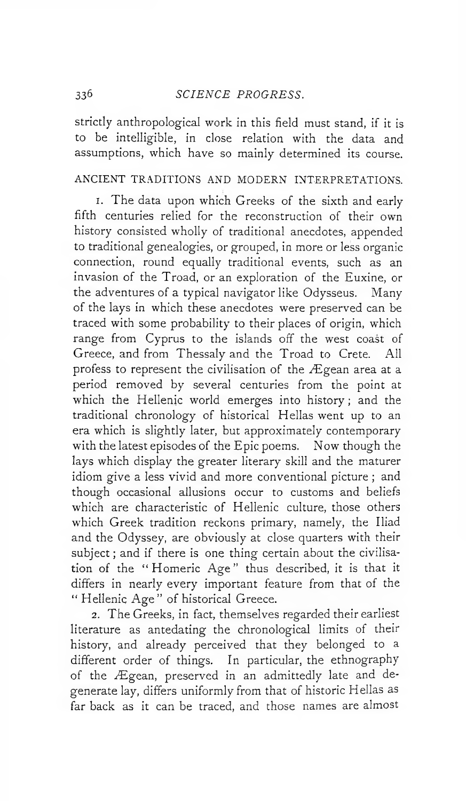### 336 *SCIENCE PROGRESS.*

strictly anthropological work in this field must stand, if it is to be intelligible, in close relation with the data and assumptions, which have so mainly determined its course.

## ANCIENT TRADITIONS AND MODERN INTERPRETATIONS.

i. The data upon which Greeks of the sixth and early fifth centuries relied for the reconstruction of their own history consisted wholly of traditional anecdotes, appended to traditional genealogies, or grouped, in more or less organic connection, round equally traditional events, such as an invasion of the Troad, or an exploration of the Euxine, or the adventures of a typical navigator like Odysseus. Many of the lays in which these anecdotes were preserved can be traced with some probability to their places of origin, which range from Cyprus to the islands off the west coast of Greece, and from Thessaly and the Troad to Crete. All profess to represent the civilisation of the Ægean area at a period removed by several centuries from the point at which the Hellenic world emerges into history ; and the traditional chronology of historical Hellas went up to an era which is slightly later, but approximately contemporary with the latest episodes of the Epic poems. Now though the lays which display the greater literary skill and the maturer idiom give a less vivid and more conventional picture ; and though occasional allusions occur to customs and beliefs which are characteristic of Hellenic culture, those others which Greek tradition reckons primary, namely, the Iliad and the Odyssey, are obviously at close quarters with their subject ; and if there is one thing certain about the civilisation of the "Homeric Age" thus described, it is that it differs in nearly every important feature from that of the " Hellenic Age" of historical Greece.

2. The Greeks, in fact, themselves regarded their earliest literature as antedating the chronological limits of their history, and already perceived that they belonged to a different order of things. In particular, the ethnography of the Ægean, preserved in an admittedly late and degenerate lay, differs uniformly from that of historic Hellas as far back as it can be traced, and those names are almost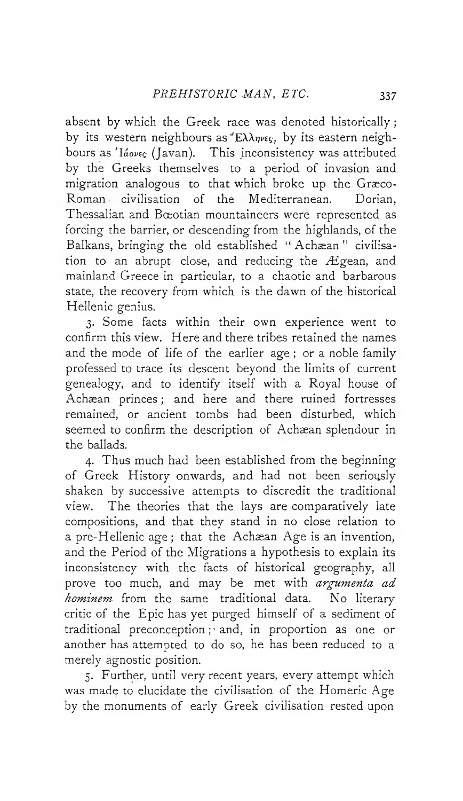absent by which the Greek race was denoted historically ; by its western neighbours as " $E\lambda\lambda\eta\nu\epsilon\epsilon$ , by its eastern neighbours as *' laovtc;* (Javan). This inconsistency was attributed by the Greeks themselves to a period of invasion and migration analogous to that which broke up the Græco-Roman^ civilisation of the Mediterranean. Dorian, Thessalian and Bœotian mountaineers were represented as forcing the barrier, or descending from the highlands, of the Balkans, bringing the old established "Achæan" civilisation to an abrupt close, and reducing the Ægean, and mainland Greece in particular, to a chaotic and barbarous state, the recovery from which is the dawn of the historical Hellenic genius.

3. Some facts within their own experience went to confirm this view. Here and there tribes retained the names and the mode of life of the earlier age ; or a noble family professed to trace its descent beyond the limits of current genealogy, and to identify itself with a Royal house of Achæan princes; and here and there ruined fortresses remained, or ancient tombs had been disturbed, which seemed to confirm the description of Achaean splendour in the ballads.

4. Thus much had been established from the beginning of Greek History onwards, and had not been seriously shaken by successive attempts to discredit the traditional view. The theories that the lays are comparatively late compositions, and that they stand in no close relation to a pre-Hellenic age ; that the Achaean Age is an invention, and the Period of the Migrations a hypothesis to explain its inconsistency with the facts of historical geography, all prove too much, and may be met with *argumenta ad hominem* from the same traditional data. No literary critic of the Epic has yet purged himself of a sediment of traditional preconception  $p$  and, in proportion as one or another has attempted to do so, he has been reduced to a merely agnostic position.

5. Further, until very recent years, every attempt which was made to elucidate the civilisation of the Homeric Age by the monuments of early Greek civilisation rested upon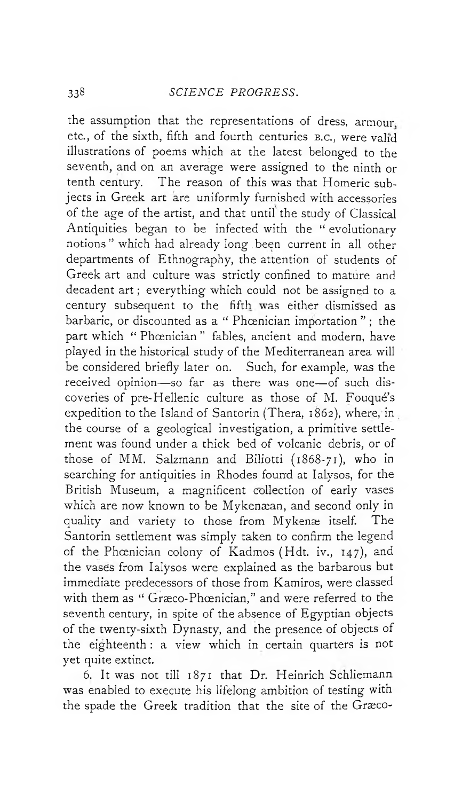the assumption that the representations of dress, armour etc., of the sixth, fifth and fourth centuries b.c., were valid illustrations of poems which at the latest belonged to the seventh, and on an average were assigned to the ninth or tenth century. The reason of this was that Homeric subjects in Greek art are uniformly furnished with accessories of the age of the artist, and that until the study of Classical Antiquities began to be infected with the " evolutionary notions" which had already long.been current in all other departments of Ethnography, the attention of students of Greek art and culture was strictly confined to mature and decadent art ; everything which could not be assigned to a century subsequent to the fifth was either dismissed as barbaric, or discounted as a " Phœnician importation "; the part which " Phœnician" fables, ancient and modern, have played in the historical study of the Mediterranean area will be considered briefly later on. Such, for example, was the received opinion— so far as there was one— of such discoveries of pre-Hellenic culture as those of M. Fouqué's expedition to the Island of Santorin (Thera, 1862), where, in the course of a geological investigation, a primitive settlement was found under a thick bed of volcanic debris, or of those of MM. Salzmann and Biliotti (1868-71), who in searching for antiquities in Rhodes found at Ialysos, for the British Museum, a magnificent collection of early vases which are now known to be Mykenæan, and second only in quality and variety to those from Mykenæ itself. The Santorin settlement was simply taken to confirm the legend of the Phcenician colony of Kadmos (Hdt. iv., 147), and the vases from Ialysos were explained as the barbarous but immediate predecessors of those from Kamiros, were classed with them as " Græco-Phœnician," and were referred to the seventh century, in spite of the absence of Egyptian objects of the twenty-sixth Dynasty, and the presence of objects of the eighteenth : a view which in certain quarters is not yet quite extinct.

6. It was not till 1871 that Dr. Heinrich Scnliemann was enabled to execute his lifelong ambition of testing with the spade the Greek tradition that the site of the Græco-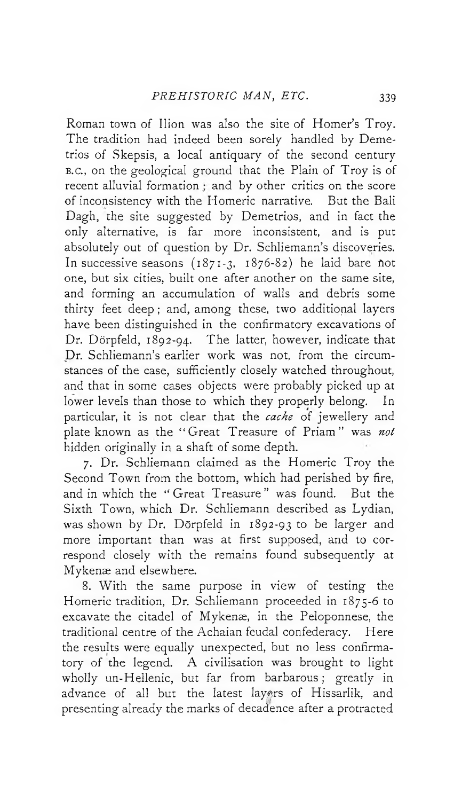Roman town of Ilion was also the site of Homer's Troy. The tradition had indeed been sorely handled by Demetrios of Skepsis, a local antiquary of the second century b.c., on the geological ground that the Plain of Troy is of recent alluvial formation; and by other critics on the score of inconsistency with the Homeric narrative. But the Bali Dagh, the site suggested by Demetrios, and in fact the only alternative, is far more inconsistent, and is put absolutely out of question by Dr. Schliemann's discoveries. In successive seasons  $(1871-3, 1876-82)$  he laid bare not one, but six cities, built one after another on the same site, and forming an accumulation of walls and debris some thirty feet deep ; and, among these, two additional layers have been distinguished in the confirmatory excavations of Dr. Dörpfeld, 1892-94. The latter, however, indicate that Dr. Schliemann's earlier work was not, from the circumstances of the case, sufficiently closely watched throughout, and that in some cases objects were probably picked up at lower levels than those to which they properly belong. In particular, it is not clear that the *cache* of jewellery and plate known as the " Great Treasure of Priam" was *not* hidden originally in a shaft of some depth.

7. Dr. Schliemann claimed as the Homeric Troy the Second Town from the bottom, which had perished by fire, and in which the " Great Treasure" was found. But the Sixth Town, which Dr. Schliemann described as Lydian, was shown by Dr. Dörpfeld in 1892-93 to be larger and more important than was at first supposed, and to correspond closely with the remains found subsequently at Mykenæ and elsewhere.

8. With the same purpose in view of testing the Homeric tradition, Dr. Schliemann proceeded in 1875-6 to excavate the citadel of Mykenæ, in the Peloponnese, the traditional centre of the Achaian feudal confederacy. Here the results were equally unexpected, but no less confirmatory of the legend. A civilisation was brought to light wholly un-Hellenic, but far from barbarous ; greatly in advance of all but the latest layers of Hissarlik, and presenting already the marks of decadence after a protracted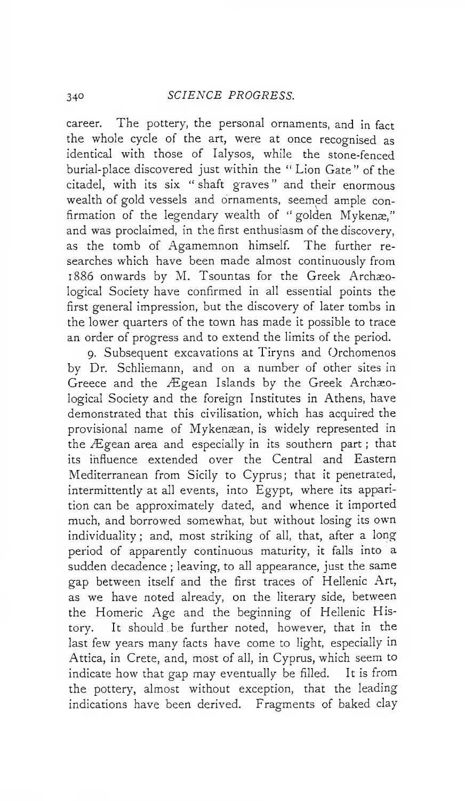career. The pottery, the personal ornaments, and in fact the whole cycle of the art, were at once recognised as identical with those of Ialysos, while the stone-fenced burial-place discovered just within the " Lion Gate" of the citadel, with its six " shaft graves " and their enormous wealth of gold vessels and ornaments, seemed ample confirmation of the legendary wealth of " golden Mykenæ," and was proclaimed, in the first enthusiasm of the discovery, as the tomb of Agamemnon himself. The further researches which have been made almost continuously from 1886 onwards by M. Tsountas for the Greek Archaeological Society have confirmed in all essential points the first general impression, but the discovery of later tombs in the lower quarters of the town has made it possible to trace an order of progress and to extend the limits of the period.

9. Subsequent excavations at Tiryns and Orchomenos by Dr. Schliemann, and on a number of other sites in Greece and the Ægean Islands by the Greek Archaeological Society and the foreign Institutes in Athens, have demonstrated that this civilisation, which has acquired the provisional name of Mykenæan, is widely represented in the Ægean area and especially in its southern part ; that its influence extended over the Central and Eastern Mediterranean from Sicily to Cyprus; that it penetrated, intermittently at all events, into Egypt, where its apparition can be approximately dated, and whence it imported much, and borrowed somewhat, but without losing its own individuality ; and, most striking of all, that, after a long period of apparently continuous maturity, it falls into a sudden decadence ; leaving, to all appearance, just the same gap between itself and the first traces of Hellenic Art, as we have noted already, on the literary side, between the Homeric Age and the beginning of Hellenic History. It should.be further noted, however, that in the last few years many facts have come to light, especially in Attica, in Crete, and, most of all, in Cyprus, which seem to indicate how that gap may eventually be filled. It is from the pottery, almost without exception, that the leading indications have been derived. Fragments of baked clay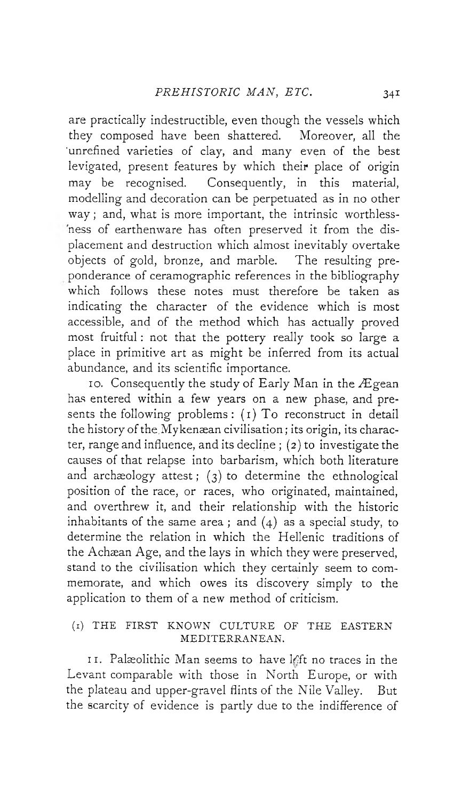are practically indestructible, even though the vessels which they composed have been shattered. Moreover, all the 'unrefined varieties of clay, and many even of the best levigated, present features by which their place of origin may be recognised. Consequently, in this material, modelling and decoration can be perpetuated as in no other way ; and, what is more important, the intrinsic worthlessness of earthenware has often preserved it from the displacement and destruction which almost inevitably overtake objects of gold, bronze, and marble. The resulting preponderance of ceramographic references in the bibliography which follows these notes must therefore be taken as indicating the character of the evidence which is most accessible, and of the method which has actually proved most fruitful : not that the pottery really took so large a place in primitive art as might be inferred from its actual abundance, and its scientific importance.

10. Consequently the study of Early Man in the Ægean has entered within a few years on a new phase, and presents the following problems : (1) To reconstruct in detail the history of the.Mykenaean civilisation; its origin, its character, range and influence, and its decline ; (2) to investigate the causes of that relapse into barbarism, which both literature and archaeology attest; ( $3$ ) to determine the ethnological position of the race, or races, who originated, maintained, and overthrew it, and their relationship with the historic inhabitants of the same area; and  $(4)$  as a special study, to determine the relation in which the Hellenic traditions of the Achaean Age, and the lays in which they were preserved, stand to the civilisation which they certainly seem to commemorate, and which owes its discovery simply to the application to them of a new method of criticism.

## (1) THE FIRST KNOWN CULTURE OF THE EASTERN MEDITERRANEAN.

11. Palæolithic Man seems to have left no traces in the Levant comparable with those in North Europe, or with the plateau and upper-gravel flints of the Nile Valley. But the scarcity of evidence is partly due to the indifference of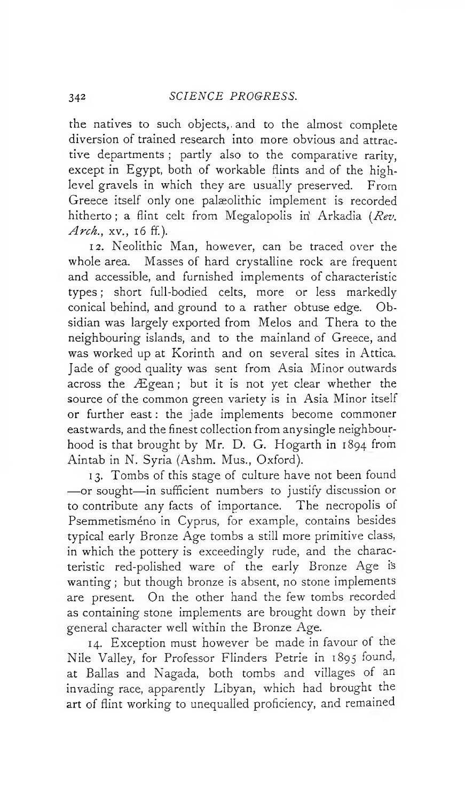the natives to such objects,, and to the almost complete diversion of trained research into more obvious and attractive departments ; partly also to the comparative rarity, except in Egypt, both of workable flints and of the highlevel gravels in which they are usually preserved. From Greece itself only one palaeolithic implement is recorded hitherto; a flint celt from Megalopolis in Arkadia *(Rev.*) Arch., xv., 16 ff.).

12. Neolithic Man, however, can be traced over the whole area. Masses of hard crystalline rock are frequent and accessible, and furnished implements of characteristic types ; short full-bodied celts, more or less markedly conical behind, and ground to a rather obtuse edge. Obsidian was largely exported from Melos and Thera to the neighbouring islands, and to the mainland of Greece, and was worked up at Korinth and on several sites in Attica. Jade of good quality was sent from Asia Minor outwards across the Ægean; but it is not yet clear whether the source of the common green variety is in Asia Minor itself or further east : the jade implements become commoner eastwards, and the finest collection from anysingle neighbourhood is that brought by Mr. D. G. Hogarth in 1894 from Aintab in N. Syria (Ashm. Mus., Oxford).

13. Tombs of this stage of culture have not been found — or sought— in sufficient numbers to justify discussion or to contribute any facts of importance. The necropolis of Psemmetisméno in Cyprus, for example, contains besides typical early Bronze Age tombs a still more primitive class, in which the pottery is exceedingly rude, and the characteristic red-polished ware of the early Bronze Age i's wanting ; but though bronze is absent, no stone implements are present. On the other hand the few tombs recorded as containing stone implements are brought down by their general character well within the Bronze Age.

14. Exception must however be made in favour of the Nile Valley, for Professor Flinders Petrie in 1895 found, at Balias and Nagada, both tombs and villages of an invading race, apparently Libyan, which had brought the art of flint working to unequalled proficiency, and remained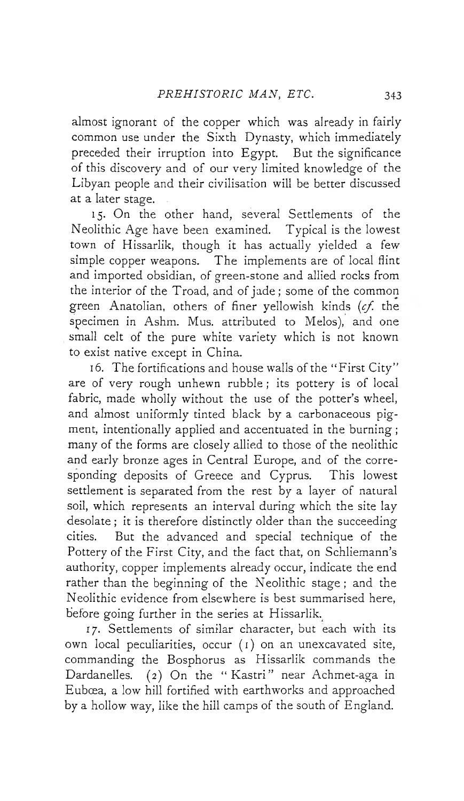almost ignorant of the copper which was already in fairly common use under the Sixth Dynasty, which immediately preceded their irruption into Egypt. But the significance of this discovery and of our very limited knowledge of the Libyan people and their civilisation will be better discussed at a later stage.

15. On the other hand, several Settlements of the Neolithic Age have been examined. Typical is the lowest town of Hissarlik, though it has actually yielded a few simple copper weapons. The implements are of local flint and imported obsidian, of green-stone and allied rocks from the interior of the Troad, and of jade ; some of the common green Anatolian, others of finer yellowish kinds (*cf.* the specimen in Ashm. Mus. attributed to Melos), and one small celt of the pure white variety which is not known to exist native except in China.

16. The fortifications and house walls of the " First City" are of very rough unhewn rubble ; its pottery is of local fabric, made wholly without the use of the potter's wheel, and almost uniformly tinted black by a carbonaceous pigment, intentionally applied and accentuated in the burning ; many of the forms are closely allied to those of the neolithic and early bronze ages in Central Europe, and of the corresponding deposits of Greece and Cyprus. This lowest settlement is separated from the rest by a layer of natural soil, which represents an interval during which the site lay desolate ; it is therefore distinctly older than the succeeding cities. But the advanced and special technique of the Pottery of the First City, and the fact that, on Schliemann's authority, copper implements already occur, indicate the end rather than the beginning of the Neolithic stage ; and the Neolithic evidence from elsewhere is best summarised here, before going further in the series at Hissarlik.

17. Settlements of similar character, but each with its own local peculiarities, occur (1) on an unexcavated site, commanding the Bosphorus as Hissarlik commands the Dardanelles. (2) On the "Kastri" near Achmet-aga in Eubcea, a low hill fortified with earthworks and approached by a hollow way, like the hill camps of the south of England.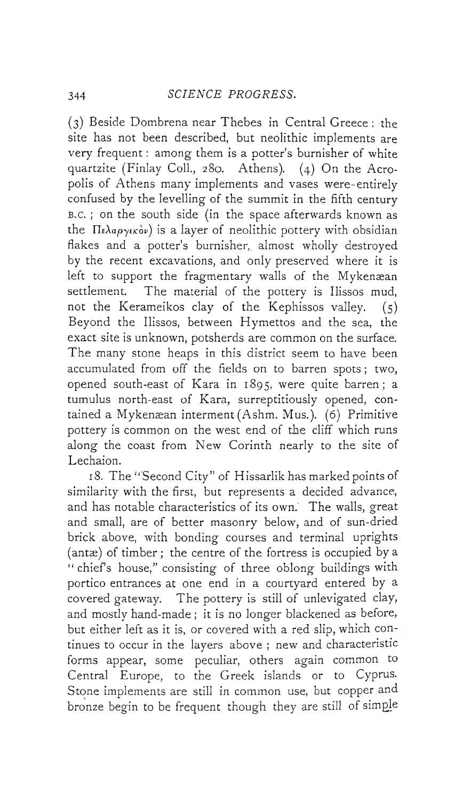(3) Beside Dombrena near Thebes in Central Greece : the site has not been described, but neolithic implements are very frequent : among them is a potter's burnisher of white quartzite (Finlay Coll., 280. Athens). (4) On the Acropolis of Athens many implements and vases were-entirely confused by the levelling of the summit in the fifth century <sup>b</sup> .c. ; on the south side (in the space afterwards known as the  $\pi_k$ <sub>apyikov</sub>) is a layer of neolithic pottery with obsidian flakes and a potter's burnisher,, almost wholly destroyed by the recent excavations, and only preserved where it is left to support the fragmentary walls of the Mykenæan settlement. The material of the pottery is Ilissos mud, not the Kerameikos clay of the Kephissos valley. (5) Beyond the Ilissos, between Hymettos and the sea, the exact site is unknown, potsherds are common on the surface. The many stone heaps in this district seem to have been accumulated from off the fields on to barren spots ; two, opened south-east of Kara in 1895, were quite barren; a tumulus north-east of Kara, surreptitiously opened, contained a Mykenæan interment (Ashm. Mus.). (6) Primitive pottery is common on the west end of the cliff which runs along the coast from New Corinth nearly to the site of Lechaion.

18. The "Second City" of Hissarlik has marked points of similarity with the first, but represents a decided advance, and has notable characteristics of its own.' The walls, great and small, are of better masonry below, and of sun-dried brick above, with bonding courses and terminal uprights (antæ) of timber ; the centre of the fortress is occupied by a " chief's house," consisting of three oblong buildings with portico entrances at one end in a courtyard entered by a covered gateway. The pottery is still of unlevigated clay, and mostly hand-made ; it is no longer blackened as before, but either left as it is, or covered with a red slip, which continues to occur in the layers above ; new and characteristic forms appear, some peculiar, others again common to Central Europe, to the Greek islands or to Cyprus. Stone implements are still in common use, but copper and bronze begin to be frequent though they are still of simple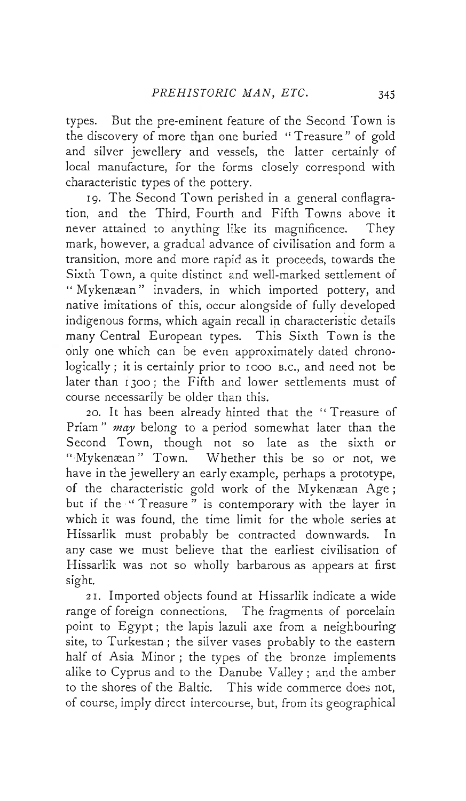types. But the pre-eminent feature of the Second Town is the discovery of more than one buried " Treasure" of gold and silver jewellery and vessels, the latter certainly of local manufacture, for the forms closely correspond with characteristic types of the pottery.

19. The Second Town perished in a general conflagration, and the Third, Fourth and Fifth Towns above it never attained to anything like its magnificence. They mark, however, a gradual advance of civilisation and form a transition, more and more rapid as it proceeds, towards the Sixth Town, a quite distinct and well-marked settlement of " Mykenæan" invaders, in which imported pottery, and native imitations of this, occur alongside of fully developed indigenous forms, which again recall in characteristic details many Central European types. This Sixth Town is the only one which can be even approximately dated chronologically; it is certainly prior to 1000 B.C., and need not be later than 1300; the Fifth and lower settlements must of course necessarily be older than this.

20. It has been already hinted that the " Treasure of Priam " *may* belong to a period somewhat later than the Second Town, though not so late as the sixth or " Mykenæan" Town. Whether this be so or not, we have in the jewellery an early example, perhaps a prototype, of the characteristic gold work of the Mykenæan Age ; but if the "Treasure" is contemporary with the layer in which it was found, the time limit for the whole series at Hissarlik must probably be contracted downwards. In any case we must believe that the earliest civilisation of Hissarlik was not so wholly barbarous as appears at first sight.

21. Imported objects found at Hissarlik indicate a wide range of foreign connections. The fragments of porcelain point to Egypt ; the lapis lazuli axe from a neighbouring site, to Turkestan ; the silver vases probably to the eastern half of Asia Minor ; the types of the bronze implements alike to Cyprus and to the Danube Valley ; and the amber to the shores of the Baltic. This wide commerce does not, of course, imply direct intercourse, but, from its geographical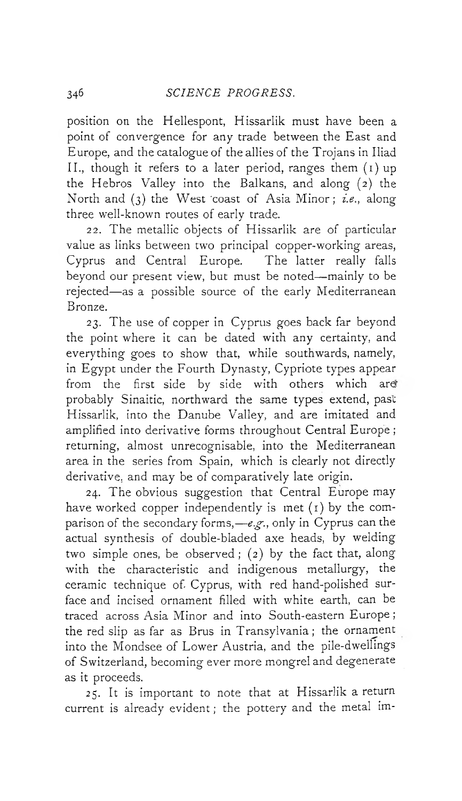position on the Hellespont, Hissarlik must have been a point of convergence for any trade between the East and Europe, and the catalogue of the allies of the Trojans in Iliad II., though it refers to a later period, ranges them (i) up the Hebros Valley into the Balkans, and along (2) the North and (3) the West 'coast of Asia Minor; *i.e*., along three well-known routes of early trade.

22. The metallic objects of Hissarlik are of particular value as links between two principal copper-working areas, Cyprus and Central Europe. The latter really falls beyond our present view, but must be noted— mainly to be rejected— as a possible source of the early Mediterranean Bronze.

23. The use of copper in Cyprus goes back far beyond the point where it can be dated with any certainty, and everything goes to show that, while southwards, namely, in Egypt under the Fourth Dynasty, Cypriote types appear from the first side by side with others which are' probably Sinaitic, northward the same types extend, past Hissarlik, into the Danube Valley, and are imitated and amplified into derivative forms throughout Central Europe ; returning, almost unrecognisable, into the Mediterranean area in the series from Spain, which is clearly not directly derivative, and may be of comparatively late origin.

24. The obvious suggestion that Central Europe may have worked copper independently is met (1) by the comparison of the secondary forms,—*e.g.*, only in Cyprus can the actual synthesis of double-bladed axe heads, by welding two simple ones, be observed ; (2) by the fact that, along with the characteristic and indigenous metallurgy, the ceramic technique of- Cyprus, with red hand-polished surface and incised ornament filled with white earth, can be traced across Asia Minor and into South-eastern Europe ; the red slip as far as Brus in Transylvania; the ornament into the Mondsee of Lower Austria, and the pile-dwellings of Switzerland, becoming ever more mongrel and degenerate as it proceeds.

25. It is important to note that at Hissarlik a return current is already evident ; the pottery and the metal im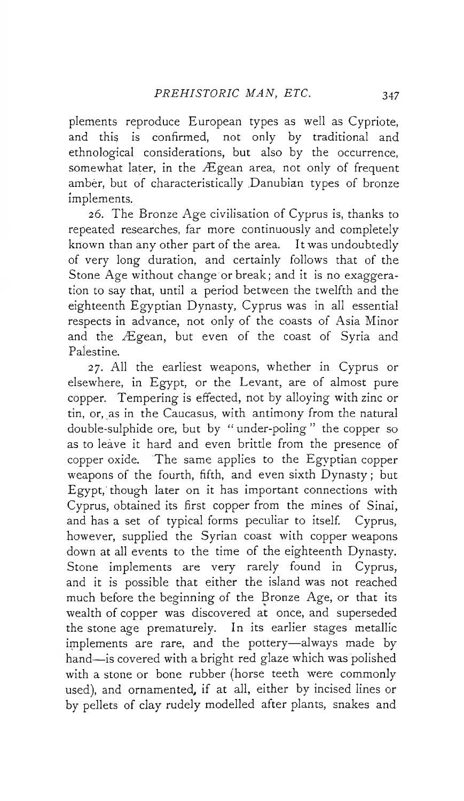plements reproduce European types as well as Cypriote, and this is confirmed, not only by traditional and ethnological considerations, but also by the occurrence, somewhat later, in the Ægean area, not only of frequent ambèr, but of characteristically .Danubian types of bronze implements.

26. The Bronze Age civilisation of Cyprus is, thanks to repeated researches, far more continuously and completely known than any other part of the area. It was undoubtedly of very long duration, and certainly follows that of the Stone Age without change'or break; and it is no exaggeration to say that, until a period between the twelfth and the eighteenth Egyptian Dynasty, Cyprus was in all essential respects in advance, not only of the coasts of Asia Minor and the Ægean, but even of the coast of Syria and Palestine.

27. All the earliest weapons, whether in Cyprus or elsewhere, in Egypt, or the Levant, are of almost pure copper. Tempering is effected, not by alloying with zinc or tin, or, as in the Caucasus, with antimony from the natural double-sulphide ore, but by " under-poling " the copper so as to leave it hard and even brittle from the presence of copper oxide. The same applies to the Egyptian copper weapons of the fourth, fifth, and even sixth Dynasty ; but Egypt, though later on it has important connections with Cyprus, obtained its first copper from the mines of Sinai, and has a set of typical forms peculiar to itself. Cyprus, however, supplied the Syrian coast with copper weapons down at all events to the time of the eighteenth Dynasty. Stone implements are very rarely found in Cyprus, and it is possible that either the island was not reached much before the beginning of the Bronze Age, or that its wealth of copper was discovered at once, and superseded the stone age prematurely. In its earlier stages metallic implements are rare, and the pottery— always made by hand— is covered with a bright red glaze which was polished with a stone or bone rubber (horse teeth were commonly used), and ornamented, if at all, either by incised lines or by pellets of clay rudely modelled after plants, snakes and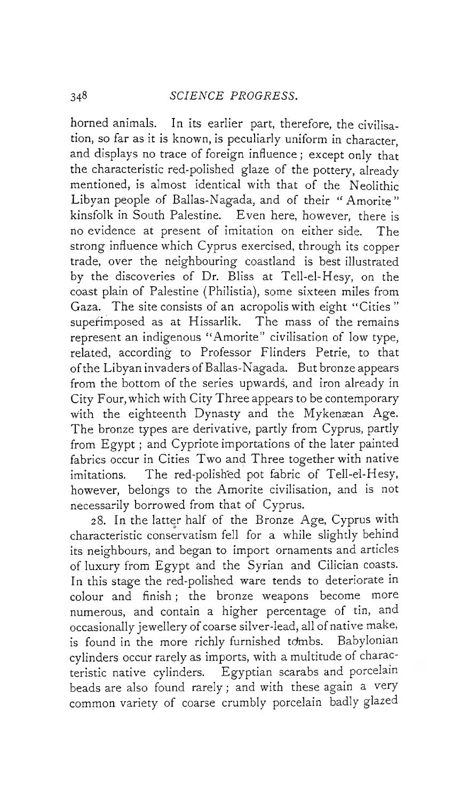horned animals. In its earlier part, therefore, the civilisation, so far as it is known, is peculiarly uniform in character, and displays no trace of foreign influence ; except only that the characteristic red-polished glaze of the pottery, already mentioned, is almost identical with that of the Neolithic Libyan people of Balias-Nagada, and of their " Amorite" kinsfolk in South Palestine. Even here, however, there is no evidence at present of imitation on either side. The strong influence which Cyprus exercised, through its copper trade, over the neighbouring coastland is best illustrated by the discoveries of Dr. Bliss at Tell-el-Hesy, on the coast plain of Palestine (Philistia), some sixteen miles from Gaza. The site consists of an acropolis with eight " Cities " superimposed as at Hissarlik. The mass of the remains represent an indigenous " Amorite" civilisation of low type, related, according to Professor Flinders Petrie, to that of the Libyan invaders of Ballas-Nagada. But bronze appears from the bottom of the series upwards, and iron already in City Four, which with City Three appears to be contemporary with the eighteenth Dynasty and the Mykenæan Age. The bronze types are derivative, partly from Cyprus, partly from Egypt ; and Cypriote importations of the later painted fabrics occur in Cities Two and Three together with native imitations. The red-polished pot fabric of Tell-el-Hesy, however, belongs to the Amorite civilisation, and is not necessarily borrowed from that of Cyprus.

28. In the latter half of the Bronze Age, Cyprus with characteristic conservatism fell for a while slightly behind its neighbours, and began to import ornaments and articles of luxury from Egypt and the Syrian and Cilician coasts. In this stage the red-polished ware tends to deteriorate in colour and finish ; the bronze weapons become more numerous, and contain a higher percentage of tin, and occasionally jewellery of coarse silver-lead, all of native make, is found in the more richly furnished tdmbs. Babylonian cylinders occur rarely as imports, with a multitude of characteristic native cylinders. Egyptian scarabs and porcelain beads are also found rarely ; and with these again a very common variety of coarse crumbly porcelain badly glazed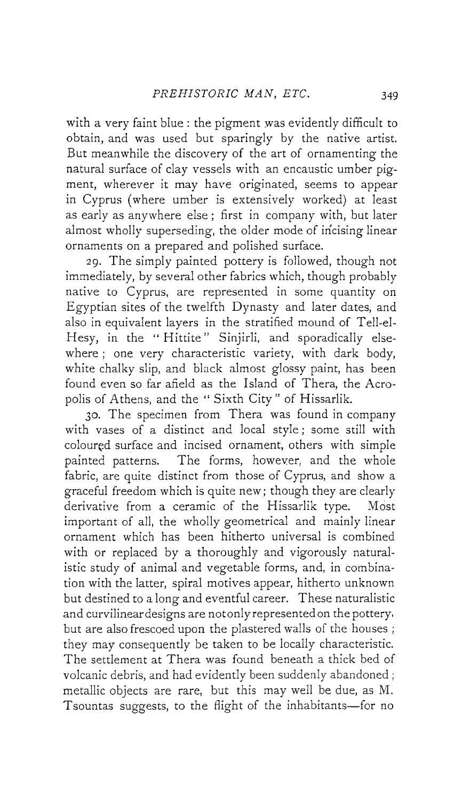with a very faint blue : the pigment was evidently difficult to obtain, and was used but sparingly by the native artist. But meanwhile the discovery of the art of ornamenting the natural surface of clay vessels with an encaustic umber pigment, wherever it may have originated, seems to appear in Cyprus (where umber is extensively worked) at least as early as anywhere else ; first in company with, but later almost wholly superseding, the older mode of incising linear ornaments on a prepared and polished surface.

29. The simply painted pottery is followed, though not immediately, by several other fabrics which, though probably native to Cyprus, are represented in some quantity on Egyptian sites of the twelfth Dynasty and later dates, and also in equivalent layers in the stratified mound of Tell-el-Hesy, in the "Hittite" Sinjirli, and sporadically elsewhere ; one very characteristic variety, with dark body, white chalky slip, and black almost glossy paint, has been found even so far afield as the Island of Thera, the Acropolis of Athens, and the "Sixth City" of Hissarlik.

30. The specimen from Thera was found in company with vases of a distinct and local style ; some still with colourçd surface and incised ornament, others with simple painted patterns. The forms, however, and the whole fabric, are quite distinct from those of Cyprus, and show a graceful freedom which is quite new; though they are clearly derivative from a ceramic of the Hissarlik type. Most important of all, the wholly geometrical and mainly linear ornament which has been hitherto universal is combined with or replaced by a thoroughly and vigorously naturalistic study of animal and vegetable forms, and, in combination with the latter, spiral motives appear, hitherto unknown but destined to a long and eventful career. These naturalistic and curvilinear designs are not only represented on the pottery, but are also frescoed upon the plastered walls of the houses ; they may consequently be taken to be locally characteristic. The settlement at Thera was found beneath a thick bed of volcanic debris, and had evidently been suddenly abandoned ; metallic objects are rare, but this may well be due, as M. Tsountas suggests, to the flight of the inhabitants— for no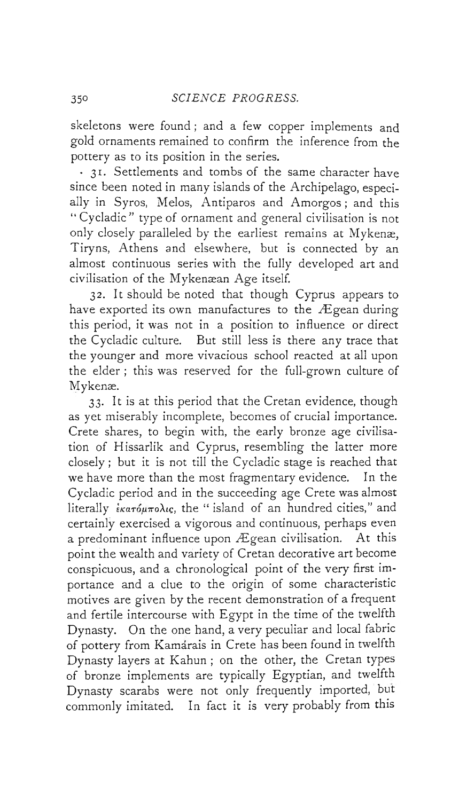skeletons were found ; and a few copper implements and gold ornaments remained to confirm the inference from the pottery as to its position in the series.

- 31. Settlements and tombs of the same character have since been noted in many islands of the Archipelago, especially in Syros, Melos, Antiparos and Amorgos ; and this " Cycladic" type of ornament and general civilisation is not only closely paralleled by the earliest remains at Mykenæ, Tiryns, Athens and elsewhere, but is connected by an almost continuous series with the fully developed art and civilisation of the Mykenæan Age itself.

32. It should be noted that though Cyprus appears to have exported its own manufactures to the Ægean during this period, it was not in a position to influence or direct the Cycladic culture. But still less is there any trace that the younger and more vivacious school reacted at all upon the elder ; this was reserved for the full-grown culture of Mykenæ.

33. It is at this period that the Cretan evidence, though as yet miserably incomplete, becomes of crucial importance. Crete shares, to begin with, the early bronze age civilisation of Hissarlik and Cyprus, resembling the latter more closely ; but it is not till the Cycladic stage is reached that we have more than the most fragmentary evidence. In the Cycladic period and in the succeeding age Crete was almost literally  $i\kappa a\tau \acute{o} \mu \pi o\lambda \iota\varsigma$ , the " island of an hundred cities," and certainly exercised a vigorous and continuous, perhaps even a predominant influence upon Ægean civilisation. At this point the wealth and variety of Cretan decorative art become conspicuous, and a chronological point of the very first importance and a clue to the origin of some characteristic motives are given by the recent demonstration of a frequent and fertile intercourse with Egypt in the time of the twelfth Dynasty. On the one hand, a very peculiar and local fabric of pottery from Kamarais in Crete has been found in twelfth Dynasty layers at Kahun ; on the other, the Cretan types of bronze implements are typically Egyptian, and twelfth Dynasty scarabs were not only frequently imported, but commonly imitated. In fact it is very probably from this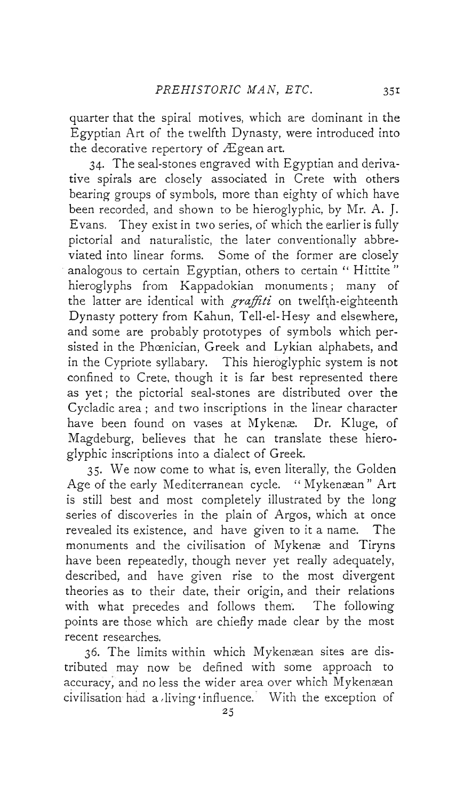quarter that the spiral motives, which are dominant in the Egyptian Art of the twelfth Dynasty, were introduced into the decorative repertory of Ægean art.

34. The seal-stones engraved with Egyptian and derivative spirals are closely associated in Crete with others bearing groups of symbols, more than eighty of which have been recorded, and shown to be hieroglyphic, by Mr. A. J. Evans. They exist in two series, of which the earlier is fully pictorial and naturalistic, the later conventionally abbreviated into linear forms. Some of the former are closely analogous to certain Egyptian, others to certain *"* Hittite " hieroglyphs from Kappadokian monuments; many of the latter are identical with *graffiti* on twelfth-eighteenth Dynasty pottery from Kahun, Tell-el-Hesy and elsewhere, and some are probably prototypes of symbols which persisted in the Phœnician, Greek and Lykian alphabets, and in the Cypriote syllabary. This hieroglyphic system is not confined to Crete, though it is far best represented there as yet ; the pictorial seal-stones are distributed over the Cycladic area ; and two inscriptions in the linear character have been found on vases at Mykenæ. Dr. Kluge, of Magdeburg, believes that he can translate these hieroglyphic inscriptions into a dialect of Greek.

35. We now come to what is, even literally, the Golden Age of the early Mediterranean cycle. " Mykenæan" Art is still best and most completely illustrated by the long series of discoveries in the plain of Argos, which at once revealed its existence, and have given to it a name. The monuments and the civilisation of Mykenæ and Tiryns have been repeatedly, though never yet really adequately, described, and have given rise to the most divergent theories as to their date, their origin, and their relations with what precedes and follows them. The following points are those which are chiefly made clear by the most recent researches.

36. The limits within which Mykenæan sites are distributed may now be defined with some approach to accuracy, and no less the wider area over which Mykenæan civilisation had a living 'influence. With the exception of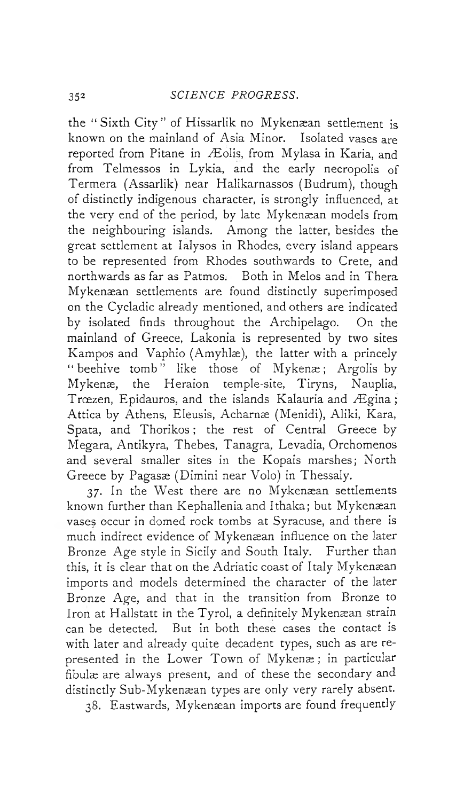the "Sixth City" of Hissarlik no Mykenæan settlement is known on the mainland of Asia Minor. Isolated vases are reported from Pitane in Æolis, from Mylasa in Karia, and from Telmessos in Lykia, and the early necropolis of Termera (Assarlik) near Halikarnassos (Budrum), though of distinctly indigenous character, is strongly influenced, at the very end of the period, by late Mykenæan models from the neighbouring islands. Among the latter, besides the great settlement at Ialysos in Rhodes, every island appears to be represented from Rhodes southwards to Crete, and northwards as far as Patmos. Both in Melos and in Thera Mykenæan settlements are found distinctly superimposed on the Cycladic already mentioned, and others are indicated by isolated finds throughout the Archipelago. On the mainland of Greece, Lakonia is represented by two sites Kampos and Vaphio (Amyhlæ), the latter with a princely " beehive tomb" like those of Mykenæ; Argolis by Mykenæ, the Heraion temple-site, Tiryns, Nauplia, Trœzen, Epidauros, and the islands Kalauria and Ægina; Attica by Athens, Eleusis, Acharnæ (Menidi), Aliki, Kara, Spata, and Thorikos; the rest of Central Greece by Megara, Antikyra, Thebes, Tanagra, Levadia, Orchomenos and several smaller sites in the Kopais marshes; North Greece by Pagasæ (Dimini near Volo) in Thessaly.

37. In the West there are no Mykenæan settlements known further than Kephallenia and Ithaka; but Mykenæan vases occur in domed rock tombs at Syracuse, and there is much indirect evidence of Mykenæan influence on the later Bronze Age style in Sicily and South Italy. Further than this, it is clear that on the Adriatic coast of Italy Mykenæan imports and models determined the character of the later Bronze Age, and that in the transition from Bronze to Iron at Hallstatt in the Tyrol, a definitely Mykenæan strain can be detected. But in both these cases the contact is with later and already quite decadent types, such as are represented in the Lower Town of Mykenæ; in particular fibulæ are always present, and of these the secondary and distinctly Sub-Mykenæan types are only very rarely absent.

38. Eastwards, Mykenæan imports are found frequently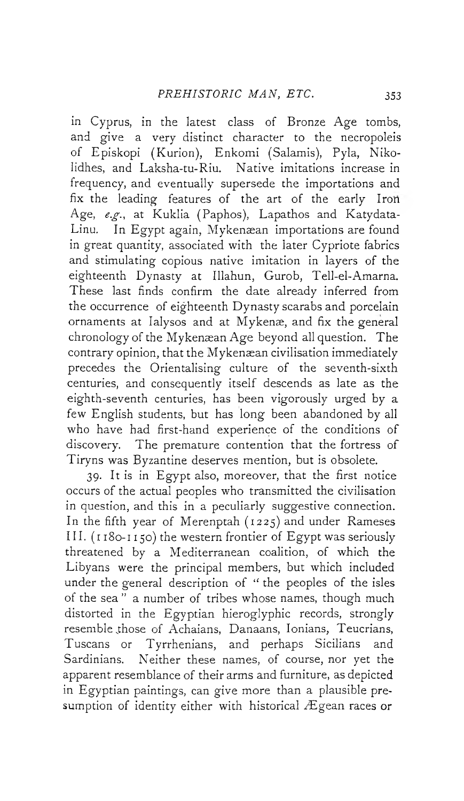in Cyprus, in the latest class of Bronze Age tombs, and give a very distinct character to the necropoleis of Episkopi (Kurion), Enkomi (Salamis), Pyla, Nikolidhes, and Laksha-tu-Riu. Native imitations increase in frequency, and eventually supersede the importations and fix the leading features of the art of the early Iron Age, *e.g.,* at Kuklia (Paphos), Lapathos and Katydata-Linu. In Egypt again, Mykenæan importations are found in great quantity, associated with the later Cypriote fabrics and stimulating copious native imitation in layers of the eighteenth Dynasty at Illahun, Gurob, Tell-el-Amarna. These last finds confirm the date already inferred from the occurrence of eighteenth Dynasty scarabs and porcelain ornaments at Ialysos and at Mykenæ, and fix the general chronology of the Mykenæan Age beyond all question. The contrary opinion, that the Mykenæan civilisation immediately precedes the Orientalising culture of the seventh-sixth centuries, and consequently itself descends as late as the eighth-seventh centuries, has been vigorously urged by a few English students, but has long been abandoned by all who have had first-hand experience of the conditions of discovery. The premature contention that the fortress of Tiryns was Byzantine deserves mention, but is obsolete.

39. It is in Egypt also, moreover, that the first notice occurs of the actual peoples who transmitted the civilisation in question, and this in a peculiarly suggestive connection. In the fifth year of Merenptah (1225) and under Rameses III. ( 1180-1150) the western frontier of Egypt was seriously threatened by a Mediterranean coalition, of which the Libyans were the principal members, but which included under the general description of " the peoples of the isles of the sea " a number of tribes whose names, though much distorted in the Egyptian hieroglyphic records, strongly resemble those of Achaians, Danaans, Ionians, Teucrians, Tuscans or Tyrrhenians, and perhaps Sicilians and Sardinians. Neither these names, of course, nor yet the apparent resemblance of their arms and furniture, as depicted in Egyptian paintings, can give more than a plausible presumption of identity either with historical Ægean races or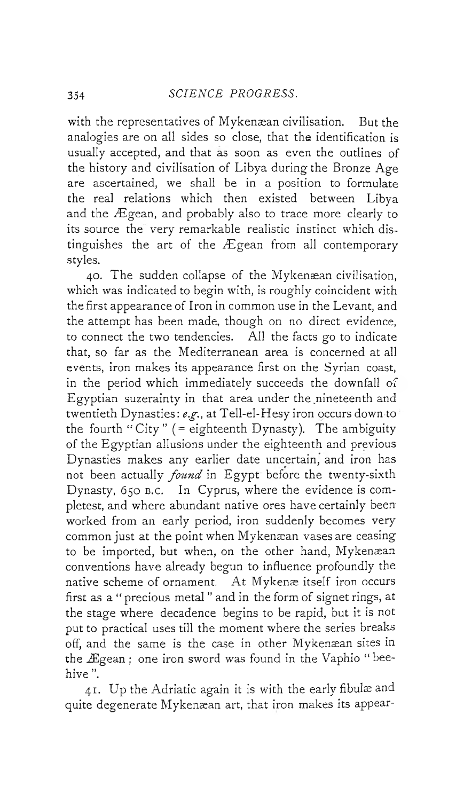with the representatives of Mykenæan civilisation. But the analogies are on all sides so close, that the identification is usually accepted, and that as soon as even the outlines of the history and civilisation of Libya during the Bronze Age are ascertained, we shall be in a position to formulate the real relations which then existed between Libya and the Ægean, and probably also to trace more clearly to its source the very remarkable realistic instinct which distinguishes the art of the Ægean from all contemporary styles.

40. The sudden collapse of the Mykenæan civilisation, which was indicated to begin with, is roughly coincident with the first appearance of Iron in common use in the Levant, and the attempt has been made, though on no direct evidence, to connect the two tendencies. All the facts go to indicate that, so far as the Mediterranean area is concerned at all events, iron makes its appearance first on the Syrian coast, in the period which immediately succeeds the downfall of Egyptian suzerainty in that area under the nineteenth and twentieth Dynasties: *eg.,* at Tell-el-Hesy iron occurs down to the fourth "City"  $($  = eighteenth Dynasty). The ambiguity of the Egyptian allusions under the eighteenth and previous Dynasties makes any earlier date uncertain, and iron has not been actually *found* in Egypt before the twenty-sixth Dynasty, 650 b.c. In Cyprus, where the evidence is completest, and where abundant native ores have certainly been worked from an early period, iron suddenly becomes very common just at the point when Mykenæan vases are ceasing to be imported, but when, on the other hand, Mykenæan conventions have already begun to influence profoundly the native scheme of ornament. At Mykenæ itself iron occurs first as a " precious metal " and in the form of signet rings, at the stage where decadence begins to be rapid, but it is not put to practical uses till the moment where the series breaks off, and the same is the case in other Mykenæan sites in the Ægean ; one iron sword was found in the Vaphio " beehive ".

41. Up the Adriatic again it is with the early fibulæ and quite degenerate Mykenæan art, that iron makes its appear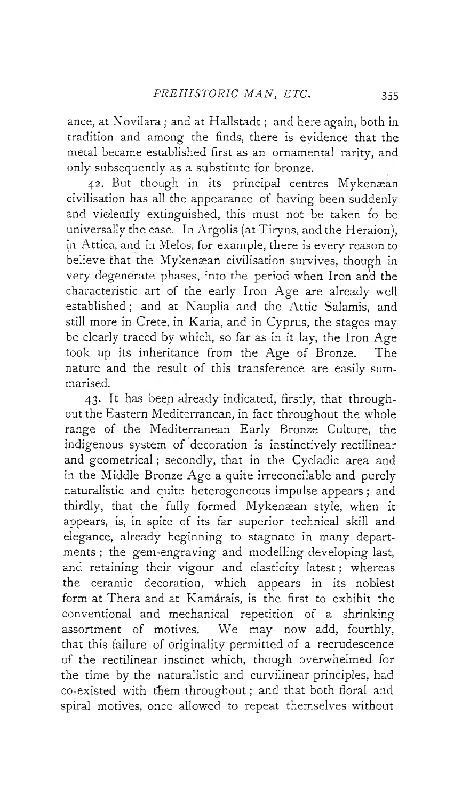ance, at Novilara ; and at Hallstadt ; and here again, both in tradition and among the finds, there is evidence that the metal became established first as an ornamental rarity, and only subsequently as a substitute for bronze.

42. But though in its principal centres Mykenæan civilisation has all the appearance of having been suddenly and violently extinguished, this must not be taken to be universally the case. In Argolis (at Tiryns, and the Heraion), in Attica, and in Melos, for example, there is every reason to believe that the Mykenæan civilisation survives, though in very degenerate phases, into the period when Iron and the characteristic art of the early Iron Age are already well established ; and at Nauplia and the Attic Salamis, and still more in Crete, in Karia, and in Cyprus, the stages may be clearly traced by which, so far as in it lay, the Iron Age took up its inheritance from the Age of Bronze. The nature and the result of this transference are easily summarised.

43. It has been already indicated, firstly, that throughout the Eastern Mediterranean, in fact throughout the whole range of the Mediterranean Early Bronze Culture, the indigenous system of decoration is instinctively rectilinear and geometrical ; secondly, that in the Cycladic area and in the Middle Bronze Age a quite irreconcilable and purely naturalistic and quite heterogeneous impulse appears ; and thirdly, that the fully formed Mykenæan style, when it appears, is, in spite of its far superior technical skill and elegance, already beginning to stagnate in many departments ; the gem-engraving and modelling developing last, and retaining their vigour and elasticity latest ; whereas the ceramic decoration, which appears in its noblest form at Thera and at Kamarais, is the first to exhibit the conventional and mechanical repetition of a shrinking assortment of motives. We may now add, fourthly, that this failure of originality permitted of a recrudescence of the rectilinear instinct which, though overwhelmed for the time by the naturalistic and curvilinear principles, had co-existed with them throughout ; and that both floral and spiral motives, once allowed to repeat themselves without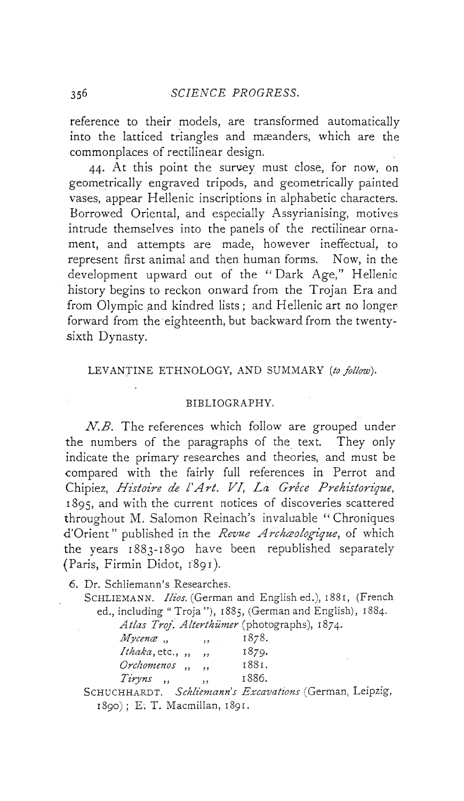reference to their models, are transformed automatically into the latticed triangles and mæanders, which are the commonplaces of rectilinear design.

44. At this point the survey must close, for now, on geometrically engraved tripods, and geometrically painted vases, appear Hellenic inscriptions in alphabetic characters. Borrowed Oriental, and especially Assyrianising, motives intrude themselves into the panels of the rectilinear ornament, and attempts are made, however ineffectual, to represent first animal and then human forms. Now, in the development upward out of the "Dark Age," Hellenic history begins to reckon onward from the Trojan Era and from Olympic and kindred lists ; and Hellenic art no longerforward from the eighteenth, but backward from the twentysixth Dynasty.

#### LEVANTINE ETHNOLOGY, AND SUMMARY *[to follow*).

#### BIBLIOGRAPHY.

*N.B.* The references which follow are grouped under the numbers of the paragraphs of the text. They only indicate the primary researches and theories, and must be compared with the fairly full references in Perrot and Chipiez, *Histoire de l'Art. VI*, La Gréce Prehistorique, 1895, and with the current notices of discoveries scattered throughout M. Salomon Reinach's invaluable " Chroniques d'Orient" published in the *Revue Archceologique,* of which the years 1883-1890 have been republished separately (Paris, Firmin Didot, 1891).

6. Dr. Schliemann's Researches.

SCHLIEMANN. *Ilios.* (German and Englished.), 1881, (French ed., including " Troja "), 1885, (German and English), 1884.

| Atlas Troj. Alterthümer (photographs), 1874. |        |  |
|----------------------------------------------|--------|--|
| $\overline{M}$                               | $-0-0$ |  |

| $Myc$ enæ $,$<br>, ,                            | 1878. |
|-------------------------------------------------|-------|
| Ithaka, etc., $,$<br>$\cdots$                   | 1879. |
| Orchomenos,<br>$\cdot$                          | 1881. |
| Tiryns<br>$\cdot$ ,<br>$\overline{\phantom{a}}$ | 1886. |
|                                                 |       |

SCHUCHHARDT. *Schliemann's Excavations* (German, Leipzig, 1890) ; E; T. Macmillan, 1891.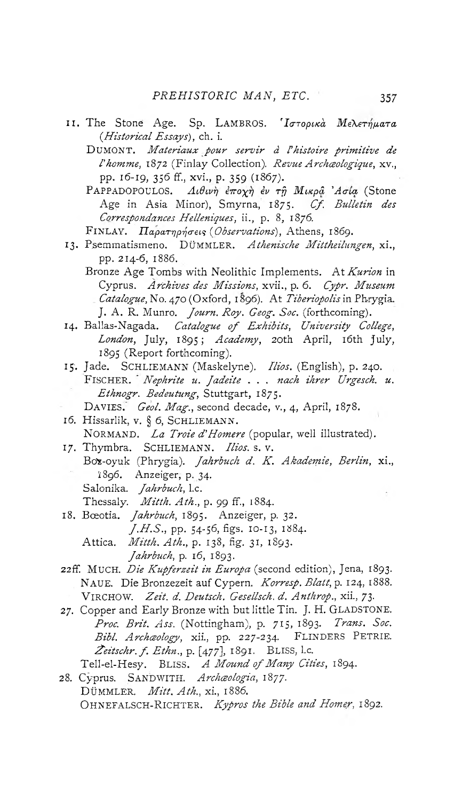- II. The Stone Age. Sp. LAMBROS. 'Ιστορικά Μελετήματα (.*Historical Essays),* ch. i.
	- DUMONT. *Matériaux pour servir à l'histoire primitive de l'homme,* 1872 (Finlay Collection). *Revue Archceologique,* xv., PP- 16-19, 356 ff., xvi., p. 359 (1867).
	- PAPPADOPOULOS. Λιθινή έποχη έν τη Μικρα<sup>'</sup> Ασία (Stone Age in Asia Minor), Smyrna, 1875. Cf. Bulletin des *Correspondances Helléniques,* ii., p. 8, 1876.
	- FlNLAY. *IlapaTrjprja-eis {Observations),* Athens, 1869.
- 13. Psemmatismeno. DÜMMLER. Athenische Mittheilungen, xi., pp. 214-6, 1886.
	- Bronze Age Tombs with Neolithic Implements. At Kurion in Cyprus. *Archives des Missions,* xvii., p. 6. *Cypr. Museum Catalogue*, No. 470 (Oxford, 1896). At *Tiberiopolis* in Phrygia. J. A. R. Munro. *Journ. Roy. Geog. Soc.* (forthcoming).
- 14. Ballas-Nagada. *Catalogue of Exhibits*, University College, London, July, 1895; Academy, 20th April, 16th July, 1895 (Report forthcoming).
- 15'. Jade. SCHLIEMANN (Maskelyne). *Ilios.* (English), p. 240. FISCHER. *Nephrite u. fadeite* . . . *nach ihrer Urgesch. u. Ethnogr. Bedeutung,* Stuttgart, 1875.
	- DAVIES. Geol. Mag., second decade, v., 4, April, 1878.
- 16. Hissarlik, v. § 6, SCHLIEMANN. NORMAND. *La Troie d'Homere* (popular, well illustrated).
- 17. Thymbra. SCHLIEMANN. *Ilios.* s. v. Box-oyuk (Phrygia). *Jahrbuch d. K. Akademie, Berlin*, xi., Ï896. Anzeiger, p. 34. Salonika. *Jahrbuch,* l.c.
	- Thessaly. *Mitth. A th.,* p. 99 ff, 1884.
- 18. Bœotia. *Jahrbuch*, 1895. Anzeiger, p. 32.
	- *J .H .S .,* pp. 54-56, figs. 10-13, 1884.
	- Attica. *M itth. Ath.,* p. 138, fig. 31, 1893. *Jahrbuch*, p. 16, 1893.
- 22ff. MUCH. *Die Kupferzeit in Europa* (second edition), Jena, 1893. NAUE. Die Bronzezeit auf Cypern. *Korresp. Blatt*, p. 124, 1888. VIRCHOW. Zeit. d. Deutsch. Gesellsch. d. Anthrop., xii., 73.
- 27. Copper and Early Bronze with but little Tin. J. H. GLADSTONE. *Proc. Brit. Ass.* (Nottingham), p. 715, 1893. *Trans. Soc. Bibl. Archceology,* xii., pp. 227-234. FLINDERS PETRIE. *£eitschr. f . Ethn.,* p. [477], 1891. BLISS, l.c. Tell-el-Hesy. BLISS. A Mound of Many Cities, 1894.
- 28. Cyprus. SANDWITH. Archæologia, 1877. DÜMMLER. *M itt. Ath.,* xi., 1886. OHNEFALSCH-RICHTER. *Kypros the Bible and Homer*, 1892.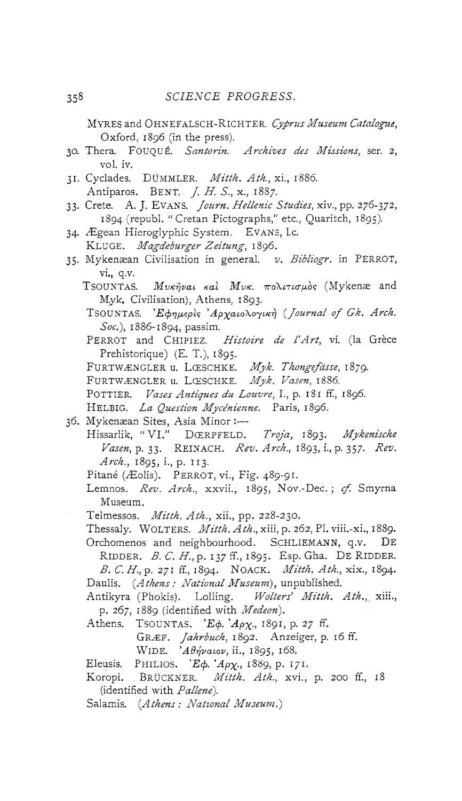MYRES and OHNEFALSCH-RICHTER. Cyprus Museum Catalogue, Oxford. 1896 (in the press).

- 30. Thera. FOUQUÉ. *Santorin. Archives des Missions,* ser. 2, vol. iv.
- 31. Cyclades. DÜMMLER. *M itth. Ath.,* xi., 1886. Antiparos. BENT. *J. H. S.*, x., 1887.
- 33. Crete. A. J. Evans. *Journ. Hellenic Studies*, xiv., pp. 276-372, 1894 (republ. " Cretan Pictographs," etc., Quaritch, 1895).
- 34. Ægean Hieroglyphic System. EVANS, l.c. KLUGE. *Magdeburger Zeitung,* 1896.
- 35. Mykenæan Civilisation in general. *v. Bibliogr.* in PERROT, vi., q.v.
	- TSOUNTAS. *Mυκήναι καλ Μυκ. πολιτισμός* (Mykenæ and Myk. Civilisation), Athens, 1893.
	- TSOUNTAS. *'Eφημερίς 'Αργαιολογική (Journal of Gk. Arch. Soc.),* 1886-1894, passim.
	- PERROT and CHIPIEZ. *Histoire de l'Art*, vi. (la Grèce Prehistorique) (E. T.), 1895.

FURTWÆNGLER u. LŒSCHKE. Myk. Thongefässe, 1879.

- FURTWÆNGLER u. LŒSCHKE. Myk. Vasen, 1886.
- POTTIER. *Vases Antiques du Louvre,* I., p. 181 ff., 1S96.
- HELBIG. La Question Mycénienne. Paris, 1896.
- 36. Mykenæan Sites, Asia Minor :—
	- Hissarlik, " V I." DŒRPFELD. *Troja,* 1893. *Mykenische Vasen,* p. 33. REINACH. *Rev. Arch.,* 1893, i., p. 357. *Rev. Arch.,* 1895, i., p. 113.
		- Pitané (Æolis). PERROT, vi., Fig. 489-91.
		- Lemnos. *Rev. Arch.,* xxvii., 1895, Nov.-Dec. ; *cf.* Smyrna Museum.
	- Telmessos. *M itth. A th.,* xii., pp. 228-230.

Thessaly. WOLTERS. *M itth. A th.,* xiii, p. 262, PI. viii.-xi., 1889. Orchomenos and neighbourhood. SCHLIEMANN, q.v. De RIDDER. *B. C. H.*, p. 137 ff., 1895. Esp. Gha. DE RIDDER. *B . C .H .,q .* 271 ff, 1894. NOACK. *M itth. Ath.,* xix., 1894. Daulis. (*Athens : National Museum),* unpublished.

Antikyra (Phokis). Lolling. *Wolters' Mitth. Ath.*, xiii., p. 267, 1889 (identified with *Medeon).*

- Athens. T soun TAS. *'E* $\phi$ . 'Ap *x*<sub>1</sub>, 1891, p. 27 ff.
	- GRÆF. *Jahrbuch,* 1892. Anzeiger, p. 16 ff.
		- WIDE. *'Aθήναιον*, ii., 1895, 168.
- Eleusis. PHILIOS. *'Ecj>. 'Apx-,* 1889, p. 171.
- Koropi. BRÜCKNER. Mitth. Ath., xvi., p. 200 ff., 18 (identified with *Pallenè).*
- Salamis. (*Athens : National Museum.')*